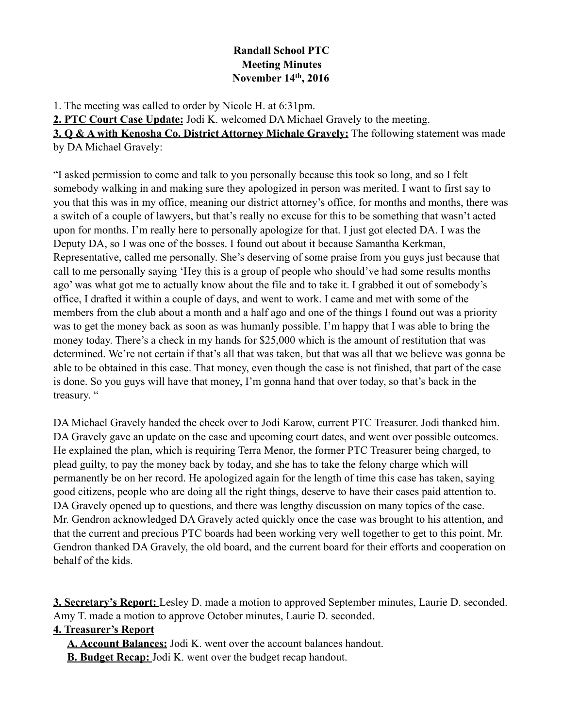## **Randall School PTC Meeting Minutes November 14th, 2016**

1. The meeting was called to order by Nicole H. at 6:31pm.

**2. PTC Court Case Update:** Jodi K. welcomed DA Michael Gravely to the meeting.

**3. Q & A with Kenosha Co. District Attorney Michale Gravely:** The following statement was made by DA Michael Gravely:

"I asked permission to come and talk to you personally because this took so long, and so I felt somebody walking in and making sure they apologized in person was merited. I want to first say to you that this was in my office, meaning our district attorney's office, for months and months, there was a switch of a couple of lawyers, but that's really no excuse for this to be something that wasn't acted upon for months. I'm really here to personally apologize for that. I just got elected DA. I was the Deputy DA, so I was one of the bosses. I found out about it because Samantha Kerkman, Representative, called me personally. She's deserving of some praise from you guys just because that call to me personally saying 'Hey this is a group of people who should've had some results months ago' was what got me to actually know about the file and to take it. I grabbed it out of somebody's office, I drafted it within a couple of days, and went to work. I came and met with some of the members from the club about a month and a half ago and one of the things I found out was a priority was to get the money back as soon as was humanly possible. I'm happy that I was able to bring the money today. There's a check in my hands for \$25,000 which is the amount of restitution that was determined. We're not certain if that's all that was taken, but that was all that we believe was gonna be able to be obtained in this case. That money, even though the case is not finished, that part of the case is done. So you guys will have that money, I'm gonna hand that over today, so that's back in the treasury. "

DA Michael Gravely handed the check over to Jodi Karow, current PTC Treasurer. Jodi thanked him. DA Gravely gave an update on the case and upcoming court dates, and went over possible outcomes. He explained the plan, which is requiring Terra Menor, the former PTC Treasurer being charged, to plead guilty, to pay the money back by today, and she has to take the felony charge which will permanently be on her record. He apologized again for the length of time this case has taken, saying good citizens, people who are doing all the right things, deserve to have their cases paid attention to. DA Gravely opened up to questions, and there was lengthy discussion on many topics of the case. Mr. Gendron acknowledged DA Gravely acted quickly once the case was brought to his attention, and that the current and precious PTC boards had been working very well together to get to this point. Mr. Gendron thanked DA Gravely, the old board, and the current board for their efforts and cooperation on behalf of the kids.

**3. Secretary's Report:** Lesley D. made a motion to approved September minutes, Laurie D. seconded. Amy T. made a motion to approve October minutes, Laurie D. seconded.

## **4. Treasurer's Report**

**A. Account Balances:** Jodi K. went over the account balances handout.

**B. Budget Recap:** Jodi K. went over the budget recap handout.